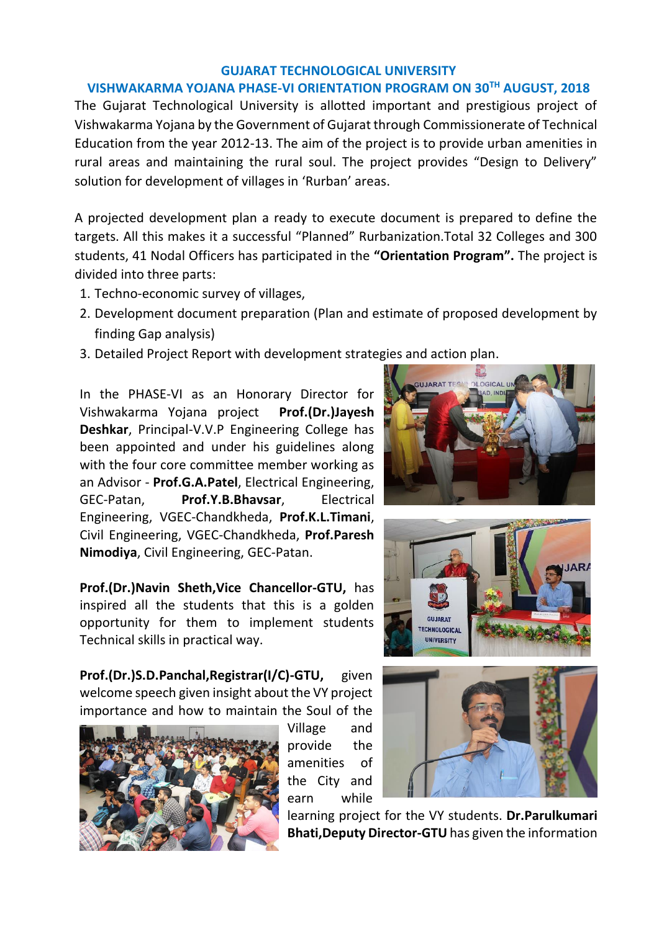## **GUJARAT TECHNOLOGICAL UNIVERSITY**

## **VISHWAKARMA YOJANA PHASE-VI ORIENTATION PROGRAM ON 30TH AUGUST, 2018**

The Gujarat Technological University is allotted important and prestigious project of Vishwakarma Yojana by the Government of Gujarat through Commissionerate of Technical Education from the year 2012-13. The aim of the project is to provide urban amenities in rural areas and maintaining the rural soul. The project provides "Design to Delivery" solution for development of villages in 'Rurban' areas.

A projected development plan a ready to execute document is prepared to define the targets. All this makes it a successful "Planned" Rurbanization.Total 32 Colleges and 300 students, 41 Nodal Officers has participated in the **"Orientation Program".** The project is divided into three parts:

- 1. Techno-economic survey of villages,
- 2. Development document preparation (Plan and estimate of proposed development by finding Gap analysis)
- 3. Detailed Project Report with development strategies and action plan.

In the PHASE-VI as an Honorary Director for Vishwakarma Yojana project **Prof.(Dr.)Jayesh Deshkar**, Principal-V.V.P Engineering College has been appointed and under his guidelines along with the four core committee member working as an Advisor - **Prof.G.A.Patel**, Electrical Engineering, GEC-Patan, **Prof.Y.B.Bhavsar**, Electrical Engineering, VGEC-Chandkheda, **Prof.K.L.Timani**, Civil Engineering, VGEC-Chandkheda, **Prof.Paresh Nimodiya**, Civil Engineering, GEC-Patan.

**Prof.(Dr.)Navin Sheth,Vice Chancellor-GTU,** has inspired all the students that this is a golden opportunity for them to implement students Technical skills in practical way.

**Prof.(Dr.)S.D.Panchal,Registrar(I/C)-GTU,** given welcome speech given insight about the VY project importance and how to maintain the Soul of the



Village and provide the amenities of the City and earn while



learning project for the VY students. **Dr.Parulkumari Bhati,Deputy Director-GTU** has given the information